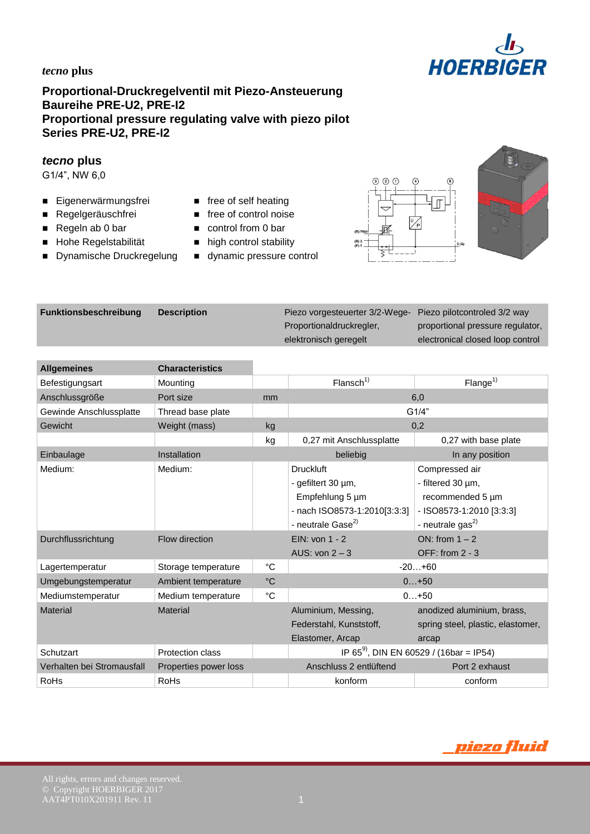

# **Proportional-Druckregelventil mit Piezo-Ansteuerung Baureihe PRE-U2, PRE-I2 Proportional pressure regulating valve with piezo pilot Series PRE-U2, PRE-I2**

#### *tecno* **plus**

G1/4", NW 6,0

- Eigenerwärmungsfrei free of self heating
- Regelgeräuschfrei free of control noise
- 
- $\blacksquare$  Hohe Regelstabilität  $\blacksquare$  high control stability
- Dynamische Druckregelung dynamic pressure control
- 
- 
- Regeln ab 0 bar **control from 0 bar** 
	-
	-





| <b>Funktionsbeschreibung</b> | <b>Description</b> | Piezo vorgesteuerter 3/2-Wege- | Piezo pilotcontroled 3/2 way     |
|------------------------------|--------------------|--------------------------------|----------------------------------|
|                              |                    | Proportionaldruckregler,       | proportional pressure regulator, |
|                              |                    | elektronisch geregelt          | electronical closed loop control |
|                              |                    |                                |                                  |
|                              |                    |                                |                                  |

| <b>Allgemeines</b>         | <b>Characteristics</b> |                   |                                                                                                                            |                                                                                                                     |  |
|----------------------------|------------------------|-------------------|----------------------------------------------------------------------------------------------------------------------------|---------------------------------------------------------------------------------------------------------------------|--|
| Befestigungsart            | Mounting               |                   | Flansch <sup>1</sup>                                                                                                       | Flange <sup>1</sup>                                                                                                 |  |
| Anschlussgröße             | Port size              | mm                |                                                                                                                            | 6,0                                                                                                                 |  |
| Gewinde Anschlussplatte    | Thread base plate      |                   | G1/4"                                                                                                                      |                                                                                                                     |  |
| Gewicht                    | Weight (mass)          | kg                | 0,2                                                                                                                        |                                                                                                                     |  |
|                            |                        | kg                | 0,27 mit Anschlussplatte                                                                                                   | 0,27 with base plate                                                                                                |  |
| Einbaulage                 | Installation           |                   | beliebig                                                                                                                   | In any position                                                                                                     |  |
| Medium:                    | Medium:                |                   | <b>Druckluft</b><br>- gefiltert 30 µm,<br>Empfehlung 5 um<br>- nach ISO8573-1:2010[3:3:3]<br>- neutrale Gase <sup>2)</sup> | Compressed air<br>- filtered 30 µm,<br>recommended 5 um<br>- ISO8573-1:2010 [3:3:3]<br>- neutrale gas <sup>2)</sup> |  |
| Durchflussrichtung         | Flow direction         |                   | EIN: von 1 - 2<br>AUS: $von 2 - 3$                                                                                         | ON: from $1 - 2$<br>OFF: from $2 - 3$                                                                               |  |
| Lagertemperatur            | Storage temperature    | °C                |                                                                                                                            | $-20+60$                                                                                                            |  |
| Umgebungstemperatur        | Ambient temperature    | $^{\circ}{\rm C}$ |                                                                                                                            | $0+50$                                                                                                              |  |
| Mediumstemperatur          | Medium temperature     | $^{\circ}C$       |                                                                                                                            | $0+50$                                                                                                              |  |
| <b>Material</b>            | <b>Material</b>        |                   | Aluminium, Messing,<br>Federstahl, Kunststoff,<br>Elastomer, Arcap                                                         | anodized aluminium, brass,<br>spring steel, plastic, elastomer,<br>arcap                                            |  |
| Schutzart                  | Protection class       |                   |                                                                                                                            | IP 65 <sup>9</sup> , DIN EN 60529 / (16bar = IP54)                                                                  |  |
| Verhalten bei Stromausfall | Properties power loss  |                   | Anschluss 2 entlüftend                                                                                                     | Port 2 exhaust                                                                                                      |  |
| RoHs                       | RoHs                   |                   | konform                                                                                                                    | conform                                                                                                             |  |

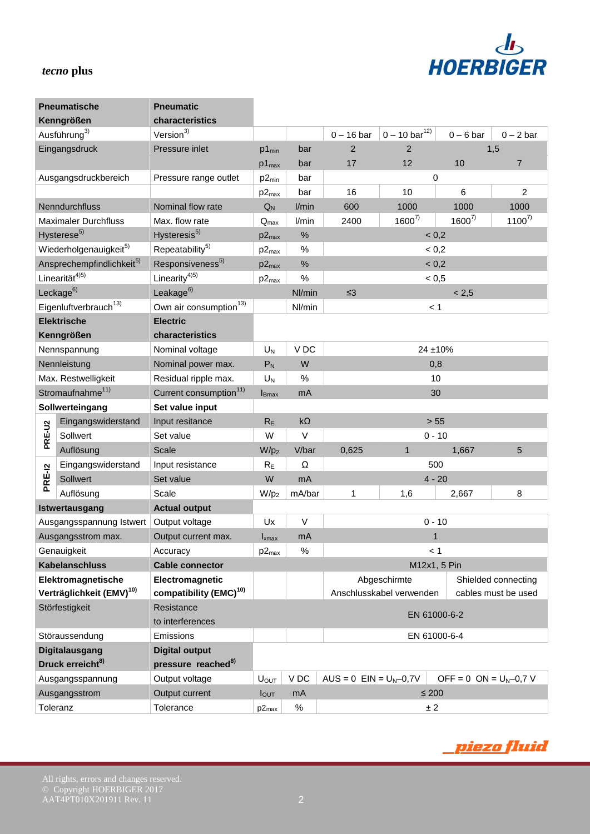

|        | <b>Pneumatische</b>                   | <b>Pneumatic</b>                   |                           |                 |                              |                           |                             |                     |
|--------|---------------------------------------|------------------------------------|---------------------------|-----------------|------------------------------|---------------------------|-----------------------------|---------------------|
|        | Kenngrößen                            | characteristics                    |                           |                 |                              |                           |                             |                     |
|        | Ausführung <sup>3)</sup>              | Version <sup>3)</sup>              |                           |                 | $0 - 16$ bar                 | $0 - 10 \text{ bar}^{12}$ | $0 - 6$ bar                 | $0 - 2$ bar         |
|        | Eingangsdruck                         | Pressure inlet                     | $p1_{min}$                | bar             | $\overline{2}$               | $\overline{2}$            |                             | 1,5                 |
|        |                                       |                                    | $p1_{max}$                | bar             | 17                           | 12                        | 10                          | $\overline{7}$      |
|        | Ausgangsdruckbereich                  | Pressure range outlet              | $p2_{min}$                | bar             |                              |                           | 0                           |                     |
|        |                                       |                                    | $p2_{max}$                | bar             | 16                           | 10                        | 6                           | $\overline{c}$      |
|        | Nenndurchfluss                        | Nominal flow rate                  | $Q_N$                     | I/min           | 600                          | 1000                      | 1000                        | 1000                |
|        | <b>Maximaler Durchfluss</b>           | Max. flow rate                     | $\mathsf{Q}_{\text{max}}$ | I/min           | 2400                         | $1600^{7}$                | $1600^{7}$                  | $1100^{7}$          |
|        | Hysterese <sup>5)</sup>               | Hysteresis <sup>5)</sup>           | $p2_{max}$                | $\%$            |                              |                           | < 0,2                       |                     |
|        | Wiederholgenauigkeit <sup>5)</sup>    | Repeatability <sup>5)</sup>        | $p2_{max}$                | %               |                              |                           | < 0,2                       |                     |
|        | Ansprechempfindlichkeit <sup>5)</sup> | Responsiveness <sup>5)</sup>       | $p2_{max}$                | $\frac{0}{0}$   |                              |                           | < 0,2                       |                     |
|        | Linearität <sup>4)5)</sup>            | Linearity $45)$                    | $p2_{max}$                | $\%$            |                              |                           | < 0, 5                      |                     |
|        | Leckage <sup>6)</sup>                 | Leakage <sup>6)</sup>              |                           | Nl/min          | $\leq$ 3                     |                           | < 2,5                       |                     |
|        | Eigenluftverbrauch <sup>13)</sup>     | Own air consumption <sup>13)</sup> |                           | Nl/min          |                              |                           | < 1                         |                     |
|        | <b>Elektrische</b>                    | <b>Electric</b>                    |                           |                 |                              |                           |                             |                     |
|        | Kenngrößen                            | characteristics                    |                           |                 |                              |                           |                             |                     |
|        | Nennspannung                          | Nominal voltage                    | $U_N$                     | V <sub>DC</sub> |                              |                           | 24 ±10%                     |                     |
|        | Nennleistung                          | Nominal power max.                 | $P_N$                     | W               | 0,8                          |                           |                             |                     |
|        | Max. Restwelligkeit                   | Residual ripple max.               | $U_N$                     | $\%$            | 10                           |                           |                             |                     |
|        | Stromaufnahme <sup>11)</sup>          | Current consumption <sup>11)</sup> | $I_{Bmax}$                | mA              | 30                           |                           |                             |                     |
|        | Sollwerteingang                       | Set value input                    |                           |                 |                              |                           |                             |                     |
|        | Eingangswiderstand                    | Input resitance                    | $R_E$                     | $k\Omega$       |                              |                           | $> 55$                      |                     |
| PRE-U2 | Sollwert                              | Set value                          | W                         | V               | $0 - 10$                     |                           |                             |                     |
|        | Auflösung                             | Scale                              | $W/p_2$                   | V/bar           | 0,625                        | $\mathbf{1}$              | 1,667                       | 5                   |
|        | Eingangswiderstand                    | Input resistance                   | $R_E$                     | Ω               | 500                          |                           |                             |                     |
| PRE-12 | Sollwert                              | Set value                          | W                         | mA              |                              |                           | $4 - 20$                    |                     |
|        | Auflösung                             | Scale                              | $W/p_2$                   | mA/bar          | 1                            | 1,6                       | 2,667                       | 8                   |
|        | Istwertausgang                        | <b>Actual output</b>               |                           |                 |                              |                           |                             |                     |
|        | Ausgangsspannung Istwert              | Output voltage                     | Ux                        | $\vee$          |                              |                           | $0 - 10$                    |                     |
|        | Ausgangsstrom max.                    | Output current max.                | $I_{xmax}$                | mA              |                              |                           | 1                           |                     |
|        | Genauigkeit                           | Accuracy                           | $p2_{max}$                | $\%$            | < 1                          |                           |                             |                     |
|        | <b>Kabelanschluss</b>                 | <b>Cable connector</b>             |                           |                 |                              |                           | M12x1, 5 Pin                |                     |
|        | Elektromagnetische                    | Electromagnetic                    |                           |                 |                              | Abgeschirmte              |                             | Shielded connecting |
|        | Verträglichkeit (EMV) <sup>10)</sup>  | compatibility (EMC) <sup>10)</sup> |                           |                 |                              | Anschlusskabel verwenden  |                             | cables must be used |
|        | Störfestigkeit                        | Resistance                         |                           |                 |                              |                           |                             |                     |
|        |                                       | to interferences                   |                           |                 | EN 61000-6-2                 |                           |                             |                     |
|        | Störaussendung                        | Emissions                          |                           |                 | EN 61000-6-4                 |                           |                             |                     |
|        | <b>Digitalausgang</b>                 | <b>Digital output</b>              |                           |                 |                              |                           |                             |                     |
|        | Druck erreicht <sup>8)</sup>          | pressure reached <sup>8)</sup>     |                           |                 |                              |                           |                             |                     |
|        | Ausgangsspannung                      | Output voltage                     | $U_{OUT}$                 | V DC            | $AUS = 0$ EIN = $U_N - 0.7V$ |                           | OFF = $0$ ON = $U_N$ –0,7 V |                     |
|        | Ausgangsstrom                         | Output current                     | <b>lout</b>               | mA              |                              |                           | $\leq 200$                  |                     |
|        | Toleranz                              | Tolerance                          | p2 <sub>max</sub>         | $\%$            |                              |                           | ± 2                         |                     |



All rights, errors and changes reserved.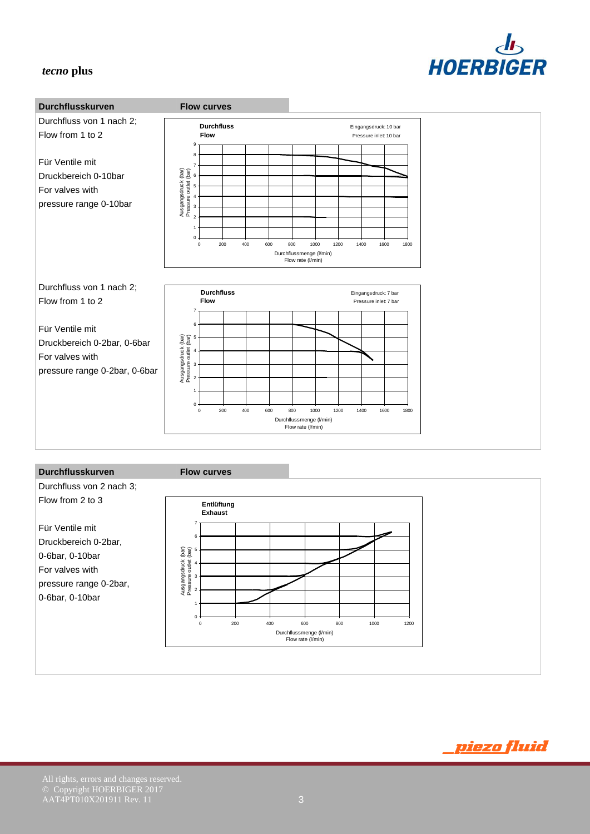



Für Ventile mit Druckbereich 0-2bar, 0-6bar, 0-10bar For valves with pressure range 0-2bar, 0-6bar, 0-10bar



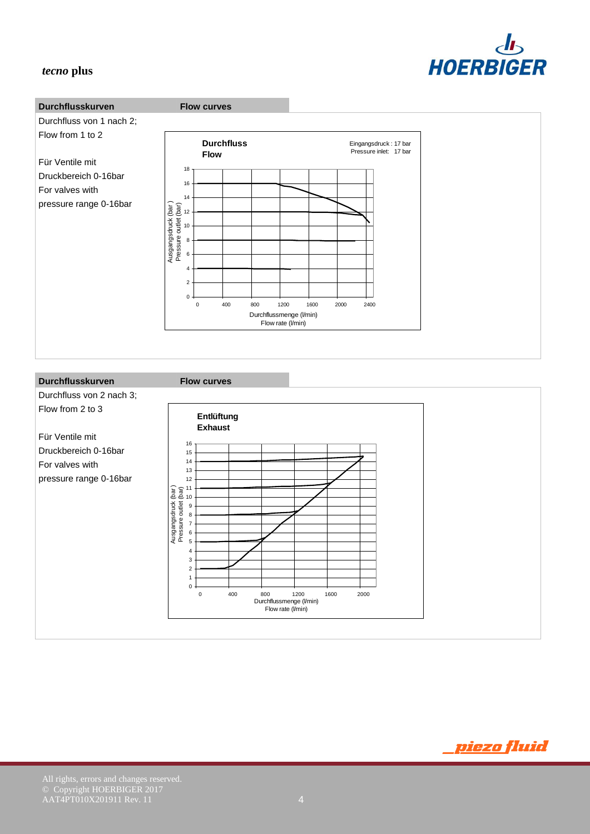



#### **Durchflusskurven Flow curves**

![](_page_3_Figure_5.jpeg)

![](_page_3_Picture_6.jpeg)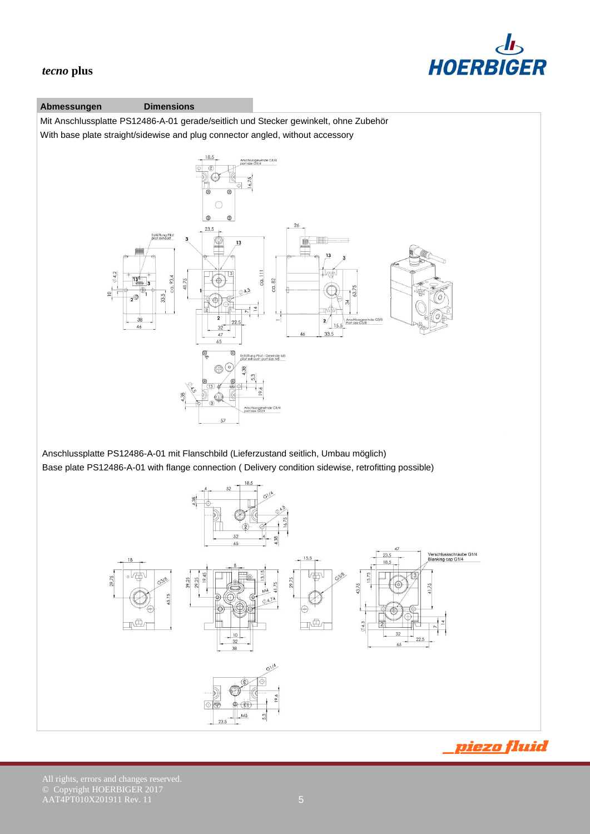![](_page_4_Picture_0.jpeg)

#### **Abmessungen Dimensions**

Mit Anschlussplatte PS12486-A-01 gerade/seitlich und Stecker gewinkelt, ohne Zubehör With base plate straight/sidewise and plug connector angled, without accessory

![](_page_4_Figure_4.jpeg)

Anschlussplatte PS12486-A-01 mit Flanschbild (Lieferzustand seitlich, Umbau möglich) Base plate PS12486-A-01 with flange connection ( Delivery condition sidewise, retrofitting possible)

![](_page_4_Figure_6.jpeg)

<u>piezo fluid</u>

All rights, errors and changes reserved.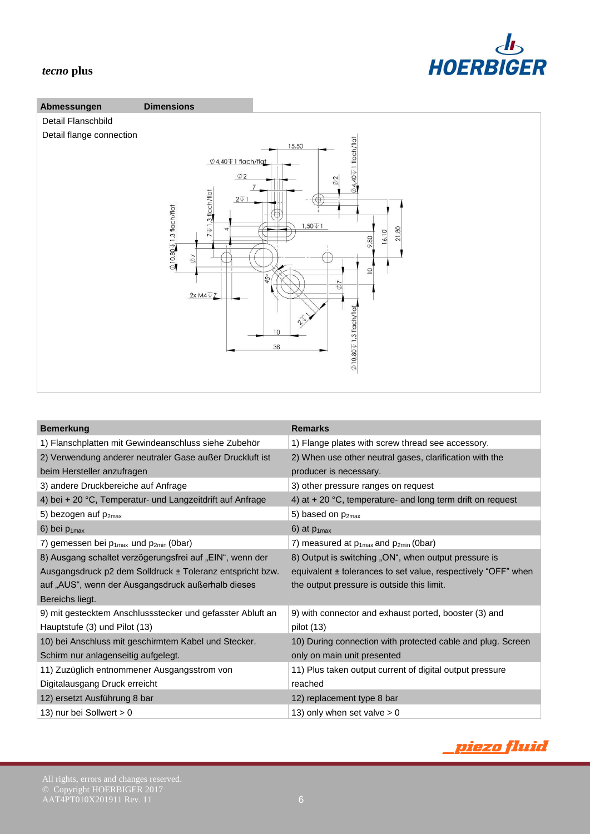# $d_{\mathbf{b}}$ **HOERBIGER**

## *tecno* **plus**

![](_page_5_Figure_2.jpeg)

| <b>Bemerkung</b>                                           | <b>Remarks</b>                                                |
|------------------------------------------------------------|---------------------------------------------------------------|
| 1) Flanschplatten mit Gewindeanschluss siehe Zubehör       | 1) Flange plates with screw thread see accessory.             |
| 2) Verwendung anderer neutraler Gase außer Druckluft ist   | 2) When use other neutral gases, clarification with the       |
| beim Hersteller anzufragen                                 | producer is necessary.                                        |
| 3) andere Druckbereiche auf Anfrage                        | 3) other pressure ranges on request                           |
| 4) bei + 20 °C, Temperatur- und Langzeitdrift auf Anfrage  | 4) at $+$ 20 °C, temperature- and long term drift on request  |
| 5) bezogen auf $p_{2max}$                                  | 5) based on p <sub>2max</sub>                                 |
| 6) bei $p_{1max}$                                          | 6) at $p_{1max}$                                              |
| 7) gemessen bei $p_{1max}$ und $p_{2min}$ (0bar)           | 7) measured at $p_{1max}$ and $p_{2min}$ (0bar)               |
| 8) Ausgang schaltet verzögerungsfrei auf "EIN", wenn der   | 8) Output is switching "ON", when output pressure is          |
| Ausgangsdruck p2 dem Solldruck ± Toleranz entspricht bzw.  | equivalent ± tolerances to set value, respectively "OFF" when |
| auf "AUS", wenn der Ausgangsdruck außerhalb dieses         | the output pressure is outside this limit.                    |
| Bereichs liegt.                                            |                                                               |
| 9) mit gestecktem Anschlussstecker und gefasster Abluft an | 9) with connector and exhaust ported, booster (3) and         |
| Hauptstufe (3) und Pilot (13)                              | pilot $(13)$                                                  |
| 10) bei Anschluss mit geschirmtem Kabel und Stecker.       | 10) During connection with protected cable and plug. Screen   |
| Schirm nur anlagenseitig aufgelegt.                        | only on main unit presented                                   |
| 11) Zuzüglich entnommener Ausgangsstrom von                | 11) Plus taken output current of digital output pressure      |
| Digitalausgang Druck erreicht                              | reached                                                       |
| 12) ersetzt Ausführung 8 bar                               | 12) replacement type 8 bar                                    |
| 13) nur bei Sollwert > 0                                   | 13) only when set valve $> 0$                                 |

# <u>piezo fluid</u>

#### All rights, errors and changes reserved.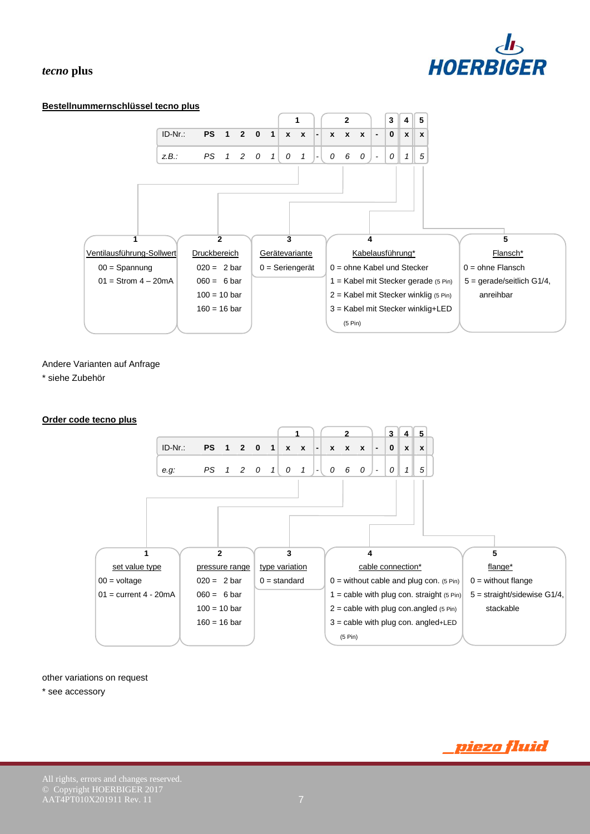# HOERBIGER

#### *tecno* **plus**

#### **Bestellnummernschlüssel tecno plus**

![](_page_6_Figure_3.jpeg)

Andere Varianten auf Anfrage

\* siehe Zubehör

#### **Order code tecno plus**

![](_page_6_Figure_7.jpeg)

#### other variations on request

\* see accessory

<u>piezo fluid</u>

All rights, errors and changes reserved.